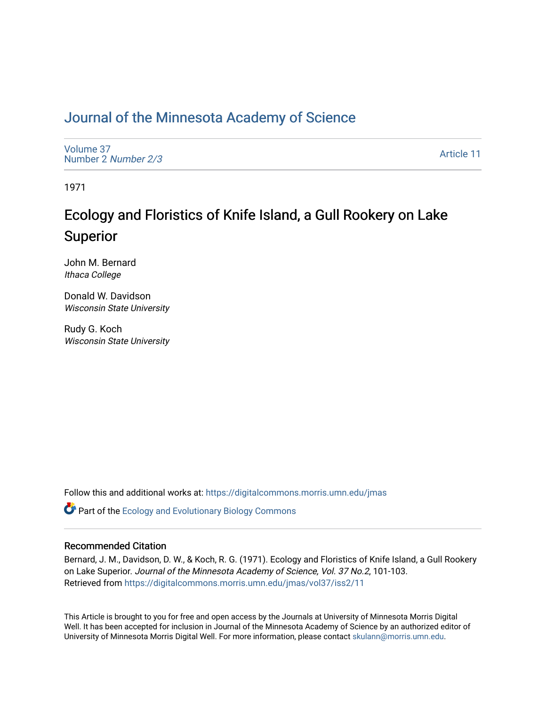### [Journal of the Minnesota Academy of Science](https://digitalcommons.morris.umn.edu/jmas)

[Volume 37](https://digitalcommons.morris.umn.edu/jmas/vol37) [Number 2](https://digitalcommons.morris.umn.edu/jmas/vol37/iss2) Number 2/3

[Article 11](https://digitalcommons.morris.umn.edu/jmas/vol37/iss2/11) 

1971

## Ecology and Floristics of Knife Island, a Gull Rookery on Lake Superior

John M. Bernard Ithaca College

Donald W. Davidson Wisconsin State University

Rudy G. Koch Wisconsin State University

Follow this and additional works at: [https://digitalcommons.morris.umn.edu/jmas](https://digitalcommons.morris.umn.edu/jmas?utm_source=digitalcommons.morris.umn.edu%2Fjmas%2Fvol37%2Fiss2%2F11&utm_medium=PDF&utm_campaign=PDFCoverPages) 

**C** Part of the [Ecology and Evolutionary Biology Commons](https://network.bepress.com/hgg/discipline/14?utm_source=digitalcommons.morris.umn.edu%2Fjmas%2Fvol37%2Fiss2%2F11&utm_medium=PDF&utm_campaign=PDFCoverPages)

#### Recommended Citation

Bernard, J. M., Davidson, D. W., & Koch, R. G. (1971). Ecology and Floristics of Knife Island, a Gull Rookery on Lake Superior. Journal of the Minnesota Academy of Science, Vol. 37 No.2, 101-103. Retrieved from [https://digitalcommons.morris.umn.edu/jmas/vol37/iss2/11](https://digitalcommons.morris.umn.edu/jmas/vol37/iss2/11?utm_source=digitalcommons.morris.umn.edu%2Fjmas%2Fvol37%2Fiss2%2F11&utm_medium=PDF&utm_campaign=PDFCoverPages) 

This Article is brought to you for free and open access by the Journals at University of Minnesota Morris Digital Well. It has been accepted for inclusion in Journal of the Minnesota Academy of Science by an authorized editor of University of Minnesota Morris Digital Well. For more information, please contact [skulann@morris.umn.edu](mailto:skulann@morris.umn.edu).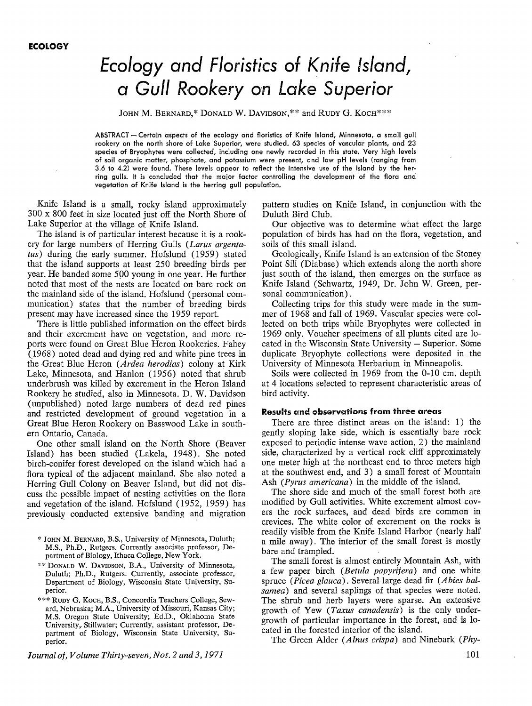# **Ecology and Floristics of Knife !sf.and, a** *Gull* **R,ookery on Lake Superior**

JOHN M. BERNARD,\* DONALD W. DAVIDSON,\*\* and RUDY G. KOCH\*\*\*

ABSTRACT - Certain aspects of the ecology and floristics of Knife Island, Minnesota, a small gull rookery on the north shore of Lake Superior, were studied. 63 species of vascular plants, and 23 species of Bryophytes were collected, including one newly recorded in this state. Very high levels of soil organic matter, phosphate, and potassium were present, and low pH levels (ranging from 3.6 to 4.2) were found. These levels appear to reflect the intensive use of the island by the herring gulls. It is concluded that the major factor controlling the development of the flora and vegetation of Knife Island is the herring gull population.

Knife Island is a small, rocky island approximately 300 x 800 feet in size located just off the North Shore of Lake Superior at the village of Knife Island.

The island is of particular interest because it is a rookery for large numbers of Herring Gulls *(Larus argentatus)* during the early summer. Hofslund (1959) stated that the island supports at least 250 breeding birds per year. He banded some 500 young in one year. He further noted that most of the nests are located on bare rock on the mainland side of the island. Hofslund (personal communication) states that the number of breeding birds present may have increased since the 1959 report.

There is little published information on the effect birds and their excrement have on vegetation, and more reports were found on Great Blue Heron Rookeries. Fahey (1968) noted dead and dying red and white pine trees in the Great Blue Heron *(Ardea herodias)* colony at Kirk Lake, Minnesota, and Hanlon ( 1956) noted that shrub underbrush was killed by excrement in the Heron Island Rookery he studied, also in Minnesota. D. W. Davidson (unpublished) noted large numbers of dead red pines and restricted development of ground vegetation in a Great Blue Heron Rookery on Basswood Lake in southern Ontario, Canada.

One other small island on the North Shore (Beaver Island) has been studied (Lakela, 1948). She noted birch-conifer forest developed on the island which had a flora typical of the adjacent mainland. She also noted a Herring Gull Colony on Beaver Island, but did not discuss the possible impact of nesting activities on the flora and vegetation of the island. Hofslund (1952, 1959) has previously conducted extensive banding and migration

- \* JOHN M. BERNARD, B.S., University of Minnesota, Duluth; M.S., Ph.D., Rutgers. Currently associate professor, Department of Biology, Ithaca College, New York.
- \*\* DONALD W. DAVIDSON, B.A., University of Minnesota, Duluth; Ph.D., Rutgers. Currently, associate professor, Department of Biology, Wisconsin State University, Superior.
- \*\*\* RUDY G. KocH, B.S., Concordia Teachers College, Seward, Nebraska; M.A., University of Missouri, Kansas City; **M.S.** Oregon State University; Ed.D., Oklahoma State University, Stillwater; Currently, assistant professor, Department of Biology, Wisconsin State University, Superior.

*Journal of, Volume Thirty-seven, Nos. 2 and 3, 1971* 

pattern studies on Knife Island, in conjunction with the Duluth Bird Club.

Our objective was to determine what effect the large population of birds has had on the flora, vegetation, and soils of this small island.

Geologically, Knife Island is an extension of the Stoney Point Sill (Diabase) which extends along the north shore just south of the island, then emerges on the surface as Knife Island (Schwartz, 1949, Dr. John W. Green, personal communication).

Collecting trips for this study were made in the summer of 1968 and fall of 1969. Vascular species were collected on both trips while Bryophytes were collected in 1969 only. Voucher specimens of all plants cited are located in the Wisconsin State University - Superior. Some duplicate Bryophyte collections were deposited in the University of Minnesota Herbarium in Minneapolis.

Soils were collected in 1969 from the 0-10 cm. depth at 4 locations selected to represent characteristic areas of bird activity.

#### **Results and observations from three areas**

There are three distinct areas on the island: 1) the gently sloping lake side, which is essentially bare rock exposed to periodic intense wave action, 2) the mainland side, characterized by a vertical rock cliff approximately one meter high at the northeast end to three meters high at the southwest end, and 3) a small forest of Mountain Ash ( *Pyrus americana)* in the middle of the island.

The shore side and much of the small forest both are modified by Gull activities. White excrement almost covers the rock surfaces, and dead birds are common in crevices. The white color of excrement on the rocks is readily visible from the Knife Island Harbor (nearly half a mile away). The interior of the small forest is mostly bare and trampled.

The small forest is almost entirely Mountain Ash, with a few paper birch *(Betula papyrifera)* and one white spruce *(Picea glauca).* Several large dead fir *(Abies balsamea)* and several saplings of that species were noted. The shrub and herb layers were sparse. An extensive growth of Yew *(Taxus canadensis)* is the only undergrowth of particular importance in the forest, and is located in the forested interior of the island.

The Green Alder *(Alnus crispa)* and Ninebark *(Phy-*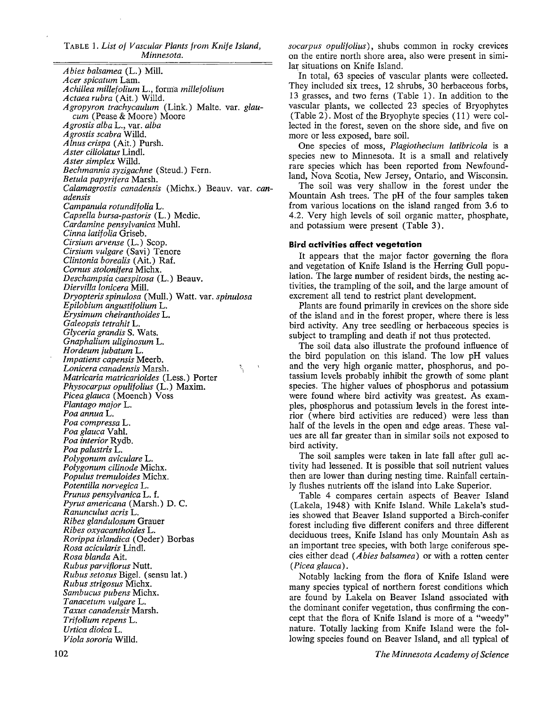TABLE 1. *List of Vascular Plants from Knife Island, Minnesota.* 

*Abies balsamea* (L.) Mill. *Acer spicatum* Lam. *Achillea millefolium L., forma millefolium Actaea rubra* (Ait.) Willd. *Agropyron trachycaulum* (Link.) Malte. var. *glaucum* (Pease & Moore) Moore *Agrostis alba* L., var. *alba Agrostis scabra* Willd. *Alnus crispa* (Ait.) Pursh. *Aster ciliolatus* Lindl. *Aster simplex* Willd. *Bechmannia syzigachne* (Steud.) Fern. *Betula papyrifera* Marsh. *Calamagrostis canadensis* (Michx.) Beauv. var. *canadensis Campanula rotundif olia* L. *Capsella bursa-pastoris* (L.) Medic. *Cardamine pensylvanica* Muhl. *Cinna latifolia* Griseb. *Cirsium arvense* (L.) Scop. *Cirsium vulgare* (Savi) Tenore *Clintonia borealis* (Ait.) Raf. *Corn us stolonif era* Michx. *Deschampsia caespitosa* (L.) Beauv. *Diervilla lonicera* **Mill.**  *Dryopteris spinulosa* (Mull.) Watt. var. *spinulosa Epilobium angustifolium* L. *Erysimum cheiranthoides* L. *Galeopsis tetrahit* L. *Glyceria grandis* S. Wats. *Gnaphalium uliginosum* L. *Hordeum jubatum* L. *Impatiens capensis* Meerb. *Lonicera canadensis* Marsh.  $\tilde{\mathcal{L}}_i$ *Matricaria matricarioides* (Less.) Porter *Physocarpus opulifolius* (L.) Maxim. *Piceaglauca* (Moench) Voss *Plantago major* L. *Poaannua* L. *Poa compressa* L. *Poa glauca* Vahl. *Poa interior* Rydb. *Poa palustris* L. *Polygonum aviculare* L. *Polygonum cilinode* Michx. *Populus tremuloides* Michx. *Potentilla norvegica* L. *Prunus pensylvanica* L. f. *Pyrus americana* (Marsh.) D. C. *Ranunculus acris* L. *Ribes glandulosum* Grauer *Ribes oxyacanthoides* L. *Rorippa islandica* (Oeder) Borbas *Rosa acicularis* Lindl. *Rosa blanda* Ait. *Rubus parvifiorus* Nutt. *Rubus setosus* Bigel. (sensu lat.) *Rubus strigosus* Michx. *Sambucus pubens* Michx. *Tanacetum vulgare* L. *Taxus canadensis* Marsh. *Trifolium repens* L. *Urtica dioica* L. *Viola sororia* Willd.

*socarpus opulifolius),* shubs common in rocky crevices on the entire north shore area, also were present in similar situations on Knife Island.

In total, 63 species of vascular plants were collected. They included six trees, 12 shrubs, 30 herbaceous forbs, 13 grasses, and two ferns (Table 1). In addition to the vascular plants, we collected 23 species of Bryophytes (Table 2). Most of the Bryophyte species ( 11) were collected in the forest, seven on the shore side, and five on more or less exposed, bare soil.

One species of moss, *Plagiothecium latibricola* is a species new to Minnesota. It is a small and relatively rare species which has been reported from Newfoundland, Nova Scotia, New Jersey, Ontario, and Wisconsin.

The soil was very shallow in the forest under the Mountain Ash trees. The pH of the four samples taken from various locations on the island ranged from 3.6 to 4.2. Very high levels of soil organic matter, phosphate, and potassium were present (Table 3).

#### **Bird activities affect vegetation**

It appears that the major factor governing the flora and vegetation of Knife Island is the Herring Gull population. The large number of resident birds, the nesting activities, the trampling of the soil, and the large amount of excrement all tend to restrict plant development.

Plants are found primarily in crevices on the shore side of the island and in the forest proper, where there is less bird activity. Any tree seedling or herbaceous species is subject to trampling and death if not thus protected.

The soil data also illustrate the profound influence of the bird population on this island. The low pH values and the very high organic matter, phosphorus, and potassium levels probably inhibit the growth of some plant species. The higher values of phosphorus and potassium were found where bird activity was greatest. As examples, phosphorus and potassium levels in the forest interior ( where bird activities are reduced) were less than half of the levels in the open and edge areas. These values are all far greater than in similar soils not exposed to bird activity.

The soil samples were taken in late fall after gull activity had lessened. It is possible that soil nutrient values then are lower than during nesting time. Rainfall certainly flushes nutrients off the island into Lake Superior.

Table 4 compares certain aspects of Beaver Island (Lakela, 1948) with Knife Island. While Lakela's studies showed that Beaver Island supported a Birch-conifer forest including five different conifers and three different deciduous trees, Knife Island has only Mountain Ash as an important tree species, with both large coniferous species either dead *(Abies balsamea)* or with a rotten center ( *Picea glauca).* 

Notably lacking from the flora of Knife Island were many species typical of northern forest conditions which are found by Lakela on Beaver Island associated with the dominant conifer vegetation, thus confirming the concept that the flora of Knife Island is more of a "weedy" nature. Totally lacking from Knife Island were the following species found on Beaver Island, and all typical of